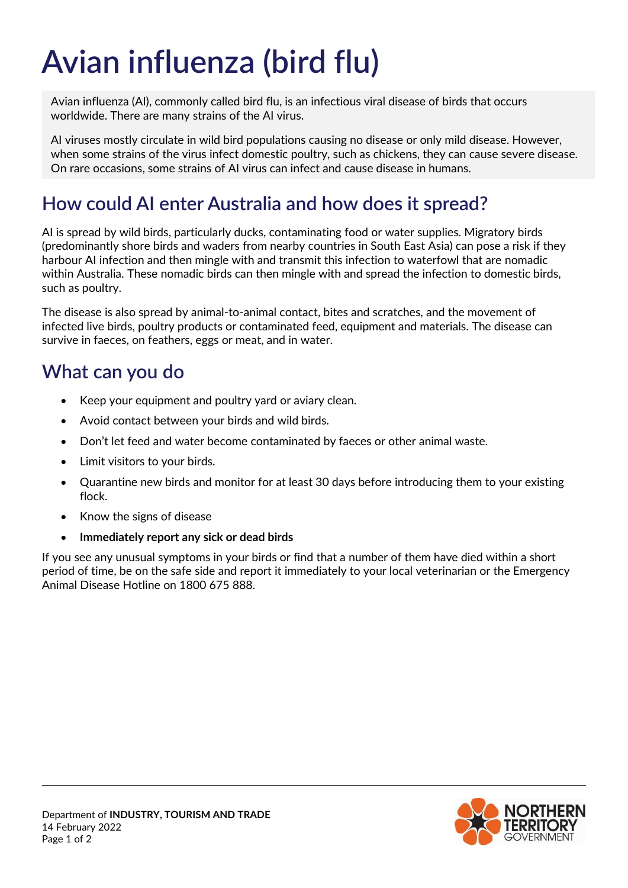# **Avian influenza (bird flu)**

Avian influenza (AI), commonly called bird flu, is an infectious viral disease of birds that occurs worldwide. There are many strains of the AI virus.

AI viruses mostly circulate in wild bird populations causing no disease or only mild disease. However, when some strains of the virus infect domestic poultry, such as chickens, they can cause severe disease. On rare occasions, some strains of AI virus can infect and cause disease in humans.

## **How could AI enter Australia and how does it spread?**

AI is spread by wild birds, particularly ducks, contaminating food or water supplies. Migratory birds (predominantly shore birds and waders from nearby countries in South East Asia) can pose a risk if they harbour AI infection and then mingle with and transmit this infection to waterfowl that are nomadic within Australia. These nomadic birds can then mingle with and spread the infection to domestic birds, such as poultry.

The disease is also spread by animal-to-animal contact, bites and scratches, and the movement of infected live birds, poultry products or contaminated feed, equipment and materials. The disease can survive in faeces, on feathers, eggs or meat, and in water.

#### **What can you do**

- Keep your equipment and poultry yard or aviary clean.
- Avoid contact between your birds and wild birds.
- Don't let feed and water become contaminated by faeces or other animal waste.
- Limit visitors to your birds.
- Quarantine new birds and monitor for at least 30 days before introducing them to your existing flock.
- Know the signs of disease
- **Immediately report any sick or dead birds**

If you see any unusual symptoms in your birds or find that a number of them have died within a short period of time, be on the safe side and report it immediately to your local veterinarian or the Emergency Animal Disease Hotline on 1800 675 888.